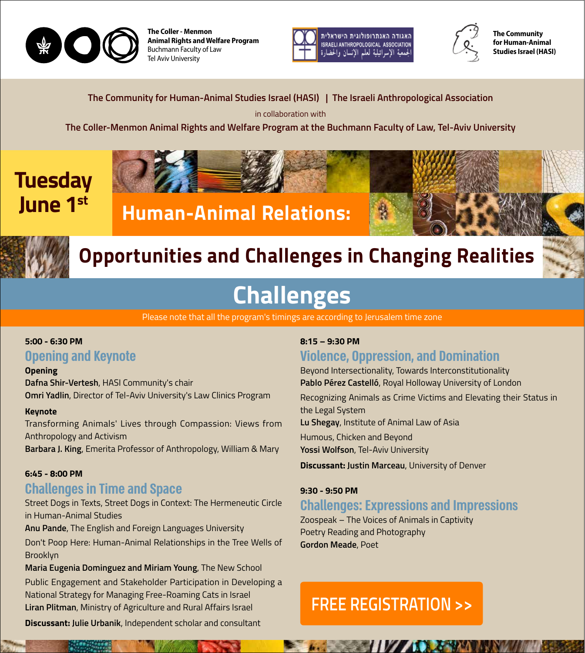

**The Coller - Menmon Animal Rights and Welfare Program** Buchmann Faculty of Law **Tel Aviv University** 





**The Community** for Human-Animal **Studies Israel (HASI)** 

The Community for Human-Animal Studies Israel (HASI) | The Israeli Anthropological Association

in collaboration with

The Coller-Menmon Animal Rights and Welfare Program at the Buchmann Faculty of Law, Tel-Aviv University

## **Tuesday June 1st**







## **Opportunities and Challenges in Changing Realities**

# **Challenges**

Please note that all the program's timings are according to Jerusalem time zone

## 5:00 - 6:30 PM

## **Opening and Keynote**

### **Opening**

Dafna Shir-Vertesh, HASI Community's chair **Omri Yadlin, Director of Tel-Aviv University's Law Clinics Program** 

### **Keynote**

Transforming Animals' Lives through Compassion: Views from Anthropology and Activism Barbara J. King, Emerita Professor of Anthropology, William & Mary

### $6:45 - 8:00$  PM

## **Challenges in Time and Space**

Street Dogs in Texts, Street Dogs in Context: The Hermeneutic Circle in Human-Animal Studies

Anu Pande, The English and Foreign Languages University

Don't Poop Here: Human-Animal Relationships in the Tree Wells of Brooklyn

Maria Eugenia Dominguez and Miriam Young, The New School

Public Engagement and Stakeholder Participation in Developing a National Strategy for Managing Free-Roaming Cats in Israel **Liran Plitman, Ministry of Agriculture and Rural Affairs Israel** 

**Discussant: Julie Urbanik, Independent scholar and consultant** 

### **8:15 – 9:30 PM**

## **Violence, Oppression, and Domination**

Beyond Intersectionality, Towards Interconstitutionality Pablo Pérez Castelló, Royal Holloway University of London Recognizing Animals as Crime Victims and Elevating their Status in the Legal System Lu Shegay, Institute of Animal Law of Asia Humous, Chicken and Beyond Yossi Wolfson, Tel-Aviv University

**Discussant: Justin Marceau, University of Denver** 

### 9:30 - 9:50 PM

## **Challenges: Expressions and Impressions**

Zoospeak – The Voices of Animals in Captivity Poetry Reading and Photography **Gordon Meade, Poet** 

## **FREE REGISTRATION >>**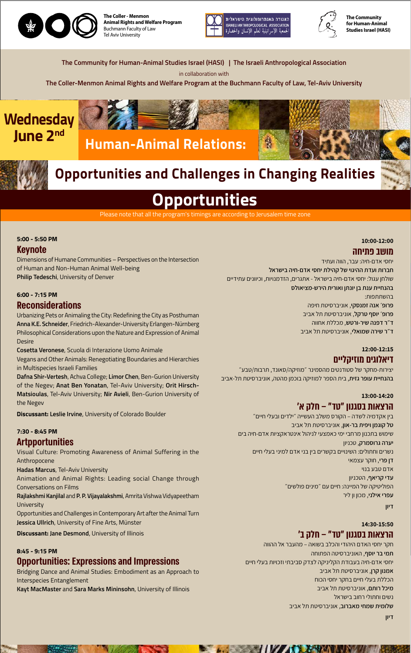

**The Coller - Menmon Animal Rights and Welfare Program** Buchmann Faculty of Law Tel Aviv University





**The Community** for Human-Animal **Studies Israel (HASI)** 

The Community for Human-Animal Studies Israel (HASI) | The Israeli Anthropological Association

in collaboration with

**The Coller-Menmon Animal Rights and Welfare Program at the Buchmann Faculty of Law, Tel-Aviv University** 

**10:00-12:00**

### **מושב פתיחה**

יחסי אדם-חיה: עבר, הווה ועתיד **חברות ועדת ההיגוי של קהילת יחסי אדם-חיה בישראל** שולחן עגול: יחסי אדם-חיה בישראל - אתגרים, הזדמנויות, וכיוונים עתידיים **בהנחיית ענת בן יונתן ואורית הירש-מציאולס** בהשתתפות: **פרופ׳ אנה זמנסקי**, אוניברסיטת חיפה **פרופ׳ יוסף טרקל**, אוניברסיטת תל אביב **ד״ר דפנה שיר-ורטש**, מכללת אחווה **ד״ר שירה שמואלי**, אוניברסיטת תל אביב

#### **12:00-12:15**

## **דיאלוגים מוזיקליים**

יצירות-מחקר של סטודנטים מהסמינר ״מוזיקה/סאונד, תרבות/טבע״ **בהנחיית עופר גזית**, בית הספר למוזיקה בוכמן מהטה, אוניברסיטת תל-אביב

### **13:00-14:20 הרצאות בסגנון ״טד״ – חלק א'**

Urbanizing Pets or Animaling the City: Redefining the City as Posthuman Anna K.E. Schneider, Friedrich-Alexander-University Erlangen-Nürnberg Philosophical Considerations upon the Nature and Expression of Animal Desire

**Cosetta Veronese, Scuola di Interazione Uomo Animale** 

Vegans and Other Animals: Renegotiating Boundaries and Hierarchies in Multispecies Israeli Families

Dafna Shir-Vertesh, Achva College; Limor Chen, Ben-Gurion University **Matsioulas**, Tel-Aviv University; Nir Avieli, Ben-Gurion University of of the Negev; Anat Ben Yonatan, Tel-Aviv University; Orit Hirschthe Negev

**Discussant: Leslie Irvine, University of Colorado Boulder** 

7:30 - 8:45 PM

בין אקדמיה לשדה – הקורס משלב העשייה ״ילדים ובעלי חיים״ **טל קוגמן ויפית בר-און**, אוניברסיטת תל אביב שימוש בתכנון מרחבי ימי כאמצעי לניהול אינטראקציות אדם-חיה בים

**יערה גרוסמרק**, טכניון נשרים וחתולים: השינויים בקשרים בין בני אדם למיני בעלי חיים **דן פרי**, חוקר עצמאי אדם טבע בנוי **עדי קריאף**, הטכניון הפוליטיקה של המיינה: חיים עם ״מינים פולשים״ **עפרי אילני**, מכון ון ליר

**דיון**

**14:30-15:50**

## **הרצאות בסגנון ״טד״ – חלק ב'**

חקר יחסי האדם היהודי והכלב בשואה – מהעבר אל ההווה **תמי בר יוסף**, האוניברסיטה הפתוחה יחסי אדם-חיה בעבודת הקליניקה לצדק סביבתי וזכויות בעלי חיים **אמנון קרן**, אוניברסיטת תל אביב הכללת בעלי חיים בחקר יחסי הכוח **מיכל רותם**, אוניברסיטת תל אביב נשים וחתולי רחוב בישראל **שלומית שמחי מאברוב**, אוניברסיטת תל אביב

**A PARTIES AND A PARTIES AND A PARTIES AND A PARTIES AND A PARTIES AND A PARTIES OF PERSONS ASSESSED AND A PARTIES** 

## **Wednesday June 2nd**

**דיון**

### **Keynote**

Dimensions of Humane Communities – Perspectives on the Intersection of Human and Non-Human Animal Well-being Philip Tedeschi, University of Denver

### $6:00 - 7:15$  PM

## **Reconsiderations**

### **Artpportunities**

Visual Culture: Promoting Awareness of Animal Suffering in the Anthropocene Hadas Marcus, Tel-Aviv University

Animation and Animal Rights: Leading social Change through Conversations on Films

Rajlakshmi Kanjilal and P. P. Vijayalakshmi, Amrita Vishwa Vidyapeetham **University** 

Opportunities and Challenges in Contemporary Art after the Animal Turn Jessica Ullrich, University of Fine Arts, Münster

**Discussant: Jane Desmond, University of Illinois** 

#### **8:45 - 9:15 PM**

## **Opportunities: Expressions and Impressions**

Bridging Dance and Animal Studies: Embodiment as an Approach to Interspecies Entanglement Kayt MacMaster and Sara Marks Mininsohn, University of Illinois

# **Opportunities**

Please note that all the program's timings are according to Jerusalem time zone

### 5:00 - 5:50 PM





## **Opportunities and Challenges in Changing Realities**